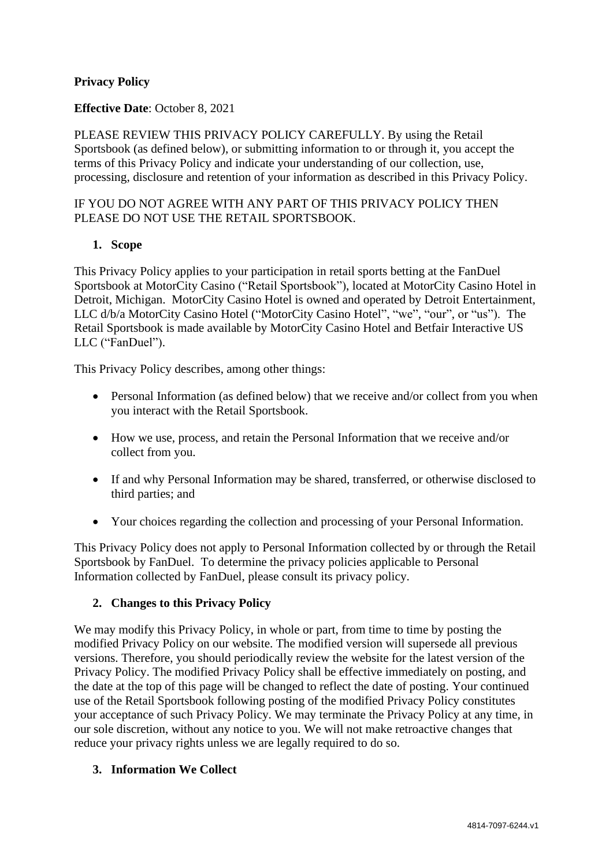### **Privacy Policy**

#### **Effective Date**: October 8, 2021

PLEASE REVIEW THIS PRIVACY POLICY CAREFULLY. By using the Retail Sportsbook (as defined below), or submitting information to or through it, you accept the terms of this Privacy Policy and indicate your understanding of our collection, use, processing, disclosure and retention of your information as described in this Privacy Policy.

#### IF YOU DO NOT AGREE WITH ANY PART OF THIS PRIVACY POLICY THEN PLEASE DO NOT USE THE RETAIL SPORTSBOOK.

#### **1. Scope**

This Privacy Policy applies to your participation in retail sports betting at the FanDuel Sportsbook at MotorCity Casino ("Retail Sportsbook"), located at MotorCity Casino Hotel in Detroit, Michigan. MotorCity Casino Hotel is owned and operated by Detroit Entertainment, LLC d/b/a MotorCity Casino Hotel ("MotorCity Casino Hotel", "we", "our", or "us"). The Retail Sportsbook is made available by MotorCity Casino Hotel and Betfair Interactive US LLC ("FanDuel").

This Privacy Policy describes, among other things:

- Personal Information (as defined below) that we receive and/or collect from you when you interact with the Retail Sportsbook.
- How we use, process, and retain the Personal Information that we receive and/or collect from you.
- If and why Personal Information may be shared, transferred, or otherwise disclosed to third parties; and
- Your choices regarding the collection and processing of your Personal Information.

This Privacy Policy does not apply to Personal Information collected by or through the Retail Sportsbook by FanDuel. To determine the privacy policies applicable to Personal Information collected by FanDuel, please consult its privacy policy.

#### **2. Changes to this Privacy Policy**

We may modify this Privacy Policy, in whole or part, from time to time by posting the modified Privacy Policy on our website. The modified version will supersede all previous versions. Therefore, you should periodically review the website for the latest version of the Privacy Policy. The modified Privacy Policy shall be effective immediately on posting, and the date at the top of this page will be changed to reflect the date of posting. Your continued use of the Retail Sportsbook following posting of the modified Privacy Policy constitutes your acceptance of such Privacy Policy. We may terminate the Privacy Policy at any time, in our sole discretion, without any notice to you. We will not make retroactive changes that reduce your privacy rights unless we are legally required to do so.

#### **3. Information We Collect**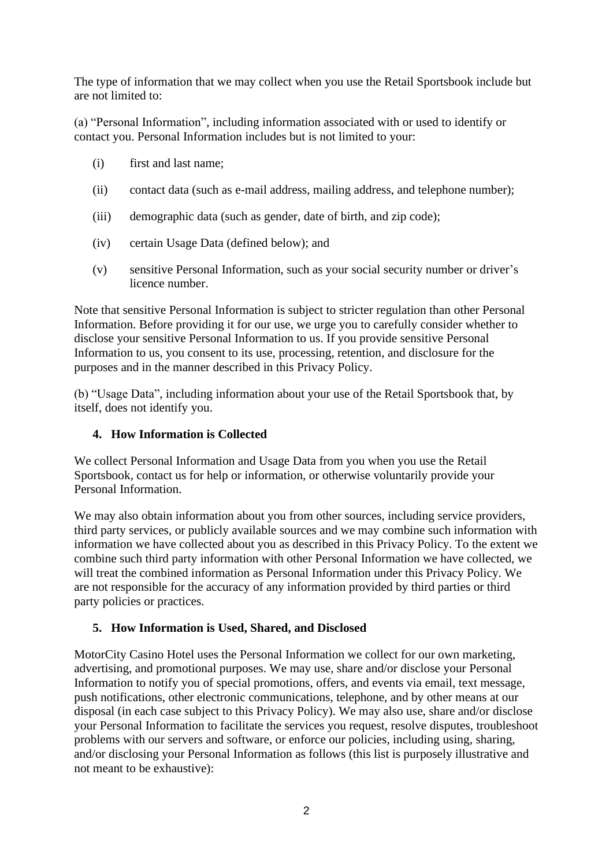The type of information that we may collect when you use the Retail Sportsbook include but are not limited to:

(a) "Personal Information", including information associated with or used to identify or contact you. Personal Information includes but is not limited to your:

- (i) first and last name;
- (ii) contact data (such as e-mail address, mailing address, and telephone number);
- (iii) demographic data (such as gender, date of birth, and zip code);
- (iv) certain Usage Data (defined below); and
- (v) sensitive Personal Information, such as your social security number or driver's licence number.

Note that sensitive Personal Information is subject to stricter regulation than other Personal Information. Before providing it for our use, we urge you to carefully consider whether to disclose your sensitive Personal Information to us. If you provide sensitive Personal Information to us, you consent to its use, processing, retention, and disclosure for the purposes and in the manner described in this Privacy Policy.

(b) "Usage Data", including information about your use of the Retail Sportsbook that, by itself, does not identify you.

### **4. How Information is Collected**

We collect Personal Information and Usage Data from you when you use the Retail Sportsbook, contact us for help or information, or otherwise voluntarily provide your Personal Information.

We may also obtain information about you from other sources, including service providers, third party services, or publicly available sources and we may combine such information with information we have collected about you as described in this Privacy Policy. To the extent we combine such third party information with other Personal Information we have collected, we will treat the combined information as Personal Information under this Privacy Policy. We are not responsible for the accuracy of any information provided by third parties or third party policies or practices.

### **5. How Information is Used, Shared, and Disclosed**

MotorCity Casino Hotel uses the Personal Information we collect for our own marketing, advertising, and promotional purposes. We may use, share and/or disclose your Personal Information to notify you of special promotions, offers, and events via email, text message, push notifications, other electronic communications, telephone, and by other means at our disposal (in each case subject to this Privacy Policy). We may also use, share and/or disclose your Personal Information to facilitate the services you request, resolve disputes, troubleshoot problems with our servers and software, or enforce our policies, including using, sharing, and/or disclosing your Personal Information as follows (this list is purposely illustrative and not meant to be exhaustive):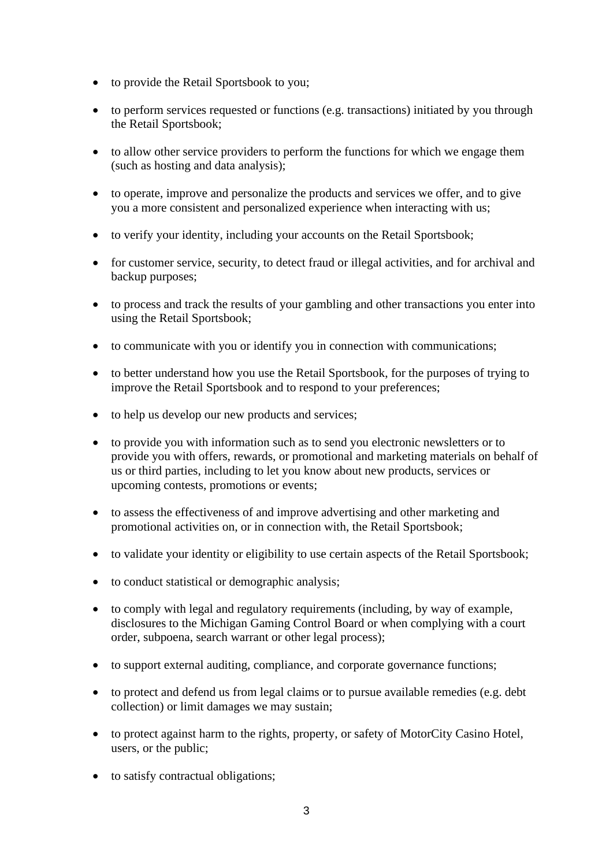- to provide the Retail Sportsbook to you;
- to perform services requested or functions (e.g. transactions) initiated by you through the Retail Sportsbook;
- to allow other service providers to perform the functions for which we engage them (such as hosting and data analysis);
- to operate, improve and personalize the products and services we offer, and to give you a more consistent and personalized experience when interacting with us;
- to verify your identity, including your accounts on the Retail Sportsbook;
- for customer service, security, to detect fraud or illegal activities, and for archival and backup purposes;
- to process and track the results of your gambling and other transactions you enter into using the Retail Sportsbook;
- to communicate with you or identify you in connection with communications;
- to better understand how you use the Retail Sportsbook, for the purposes of trying to improve the Retail Sportsbook and to respond to your preferences;
- to help us develop our new products and services;
- to provide you with information such as to send you electronic newsletters or to provide you with offers, rewards, or promotional and marketing materials on behalf of us or third parties, including to let you know about new products, services or upcoming contests, promotions or events;
- to assess the effectiveness of and improve advertising and other marketing and promotional activities on, or in connection with, the Retail Sportsbook;
- to validate your identity or eligibility to use certain aspects of the Retail Sportsbook;
- to conduct statistical or demographic analysis;
- to comply with legal and regulatory requirements (including, by way of example, disclosures to the Michigan Gaming Control Board or when complying with a court order, subpoena, search warrant or other legal process);
- to support external auditing, compliance, and corporate governance functions;
- to protect and defend us from legal claims or to pursue available remedies (e.g. debt collection) or limit damages we may sustain;
- to protect against harm to the rights, property, or safety of MotorCity Casino Hotel, users, or the public;
- to satisfy contractual obligations;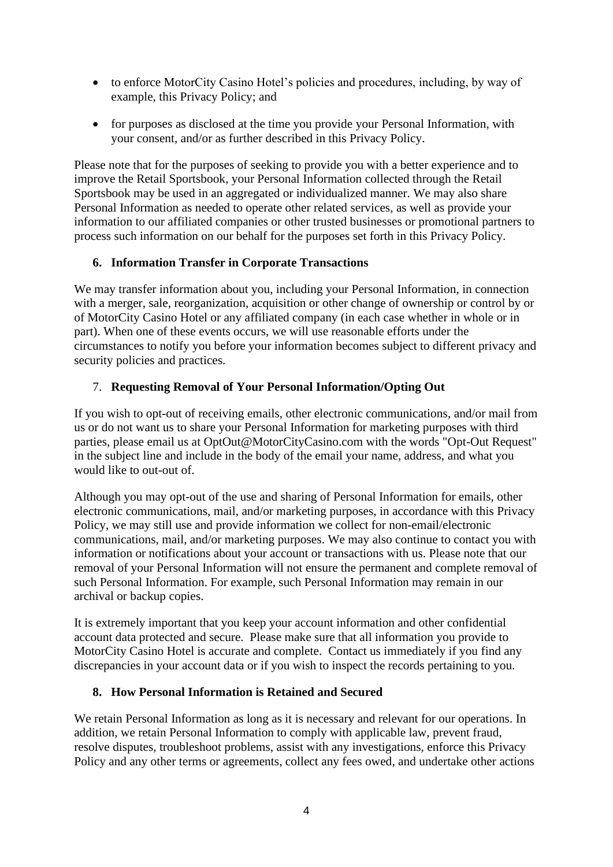- to enforce MotorCity Casino Hotel's policies and procedures, including, by way of example, this Privacy Policy; and
- for purposes as disclosed at the time you provide your Personal Information, with your consent, and/or as further described in this Privacy Policy.

Please note that for the purposes of seeking to provide you with a better experience and to improve the Retail Sportsbook, your Personal Information collected through the Retail Sportsbook may be used in an aggregated or individualized manner. We may also share Personal Information as needed to operate other related services, as well as provide your information to our affiliated companies or other trusted businesses or promotional partners to process such information on our behalf for the purposes set forth in this Privacy Policy.

# **6. Information Transfer in Corporate Transactions**

We may transfer information about you, including your Personal Information, in connection with a merger, sale, reorganization, acquisition or other change of ownership or control by or of MotorCity Casino Hotel or any affiliated company (in each case whether in whole or in part). When one of these events occurs, we will use reasonable efforts under the circumstances to notify you before your information becomes subject to different privacy and security policies and practices.

# 7. **Requesting Removal of Your Personal Information/Opting Out**

If you wish to opt-out of receiving emails, other electronic communications, and/or mail from us or do not want us to share your Personal Information for marketing purposes with third parties, please email us at OptOut@MotorCityCasino.com with the words "Opt-Out Request" in the subject line and include in the body of the email your name, address, and what you would like to out-out of.

Although you may opt-out of the use and sharing of Personal Information for emails, other electronic communications, mail, and/or marketing purposes, in accordance with this Privacy Policy, we may still use and provide information we collect for non-email/electronic communications, mail, and/or marketing purposes. We may also continue to contact you with information or notifications about your account or transactions with us. Please note that our removal of your Personal Information will not ensure the permanent and complete removal of such Personal Information. For example, such Personal Information may remain in our archival or backup copies.

It is extremely important that you keep your account information and other confidential account data protected and secure. Please make sure that all information you provide to MotorCity Casino Hotel is accurate and complete. Contact us immediately if you find any discrepancies in your account data or if you wish to inspect the records pertaining to you.

# **8. How Personal Information is Retained and Secured**

We retain Personal Information as long as it is necessary and relevant for our operations. In addition, we retain Personal Information to comply with applicable law, prevent fraud, resolve disputes, troubleshoot problems, assist with any investigations, enforce this Privacy Policy and any other terms or agreements, collect any fees owed, and undertake other actions